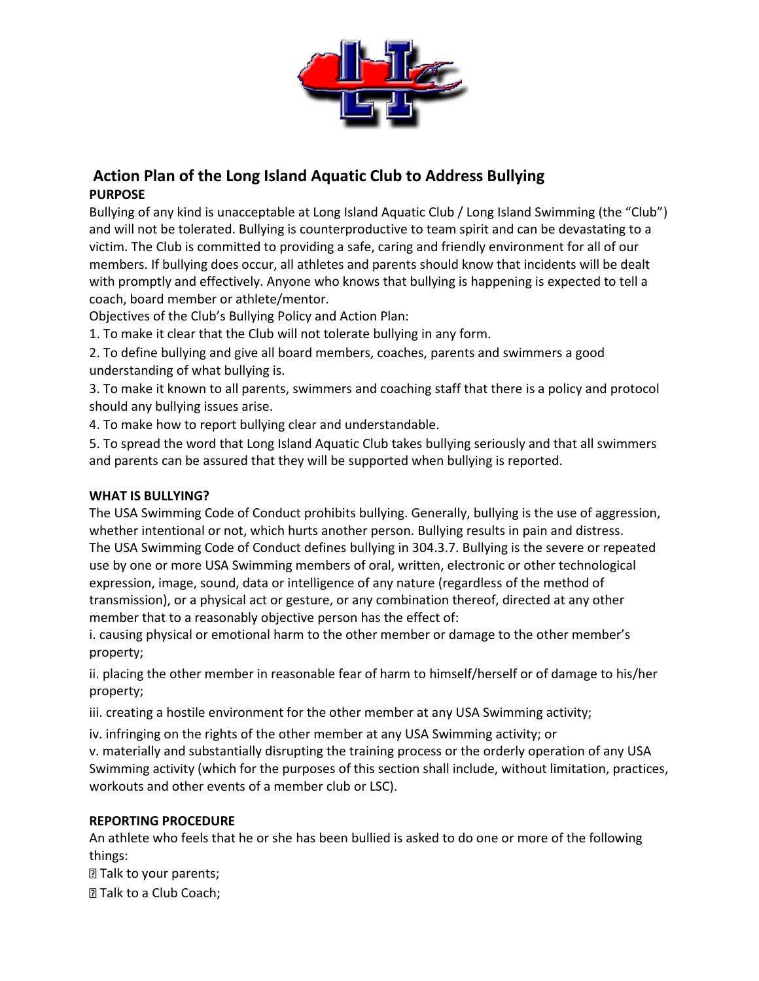

# **Action Plan of the Long Island Aquatic Club to Address Bullying PURPOSE**

Bullying of any kind is unacceptable at Long Island Aquatic Club / Long Island Swimming (the "Club") and will not be tolerated. Bullying is counterproductive to team spirit and can be devastating to a victim. The Club is committed to providing a safe, caring and friendly environment for all of our members. If bullying does occur, all athletes and parents should know that incidents will be dealt with promptly and effectively. Anyone who knows that bullying is happening is expected to tell a coach, board member or athlete/mentor.

Objectives of the Club's Bullying Policy and Action Plan:

1. To make it clear that the Club will not tolerate bullying in any form.

2. To define bullying and give all board members, coaches, parents and swimmers a good understanding of what bullying is.

3. To make it known to all parents, swimmers and coaching staff that there is a policy and protocol should any bullying issues arise.

4. To make how to report bullying clear and understandable.

5. To spread the word that Long Island Aquatic Club takes bullying seriously and that all swimmers and parents can be assured that they will be supported when bullying is reported.

#### **WHAT IS BULLYING?**

The USA Swimming Code of Conduct prohibits bullying. Generally, bullying is the use of aggression, whether intentional or not, which hurts another person. Bullying results in pain and distress. The USA Swimming Code of Conduct defines bullying in 304.3.7. Bullying is the severe or repeated use by one or more USA Swimming members of oral, written, electronic or other technological expression, image, sound, data or intelligence of any nature (regardless of the method of transmission), or a physical act or gesture, or any combination thereof, directed at any other member that to a reasonably objective person has the effect of:

i. causing physical or emotional harm to the other member or damage to the other member's property;

ii. placing the other member in reasonable fear of harm to himself/herself or of damage to his/her property;

iii. creating a hostile environment for the other member at any USA Swimming activity;

iv. infringing on the rights of the other member at any USA Swimming activity; or

v. materially and substantially disrupting the training process or the orderly operation of any USA Swimming activity (which for the purposes of this section shall include, without limitation, practices, workouts and other events of a member club or LSC).

## **REPORTING PROCEDURE**

An athlete who feels that he or she has been bullied is asked to do one or more of the following things:

**Talk to your parents;** 

**Talk to a Club Coach;**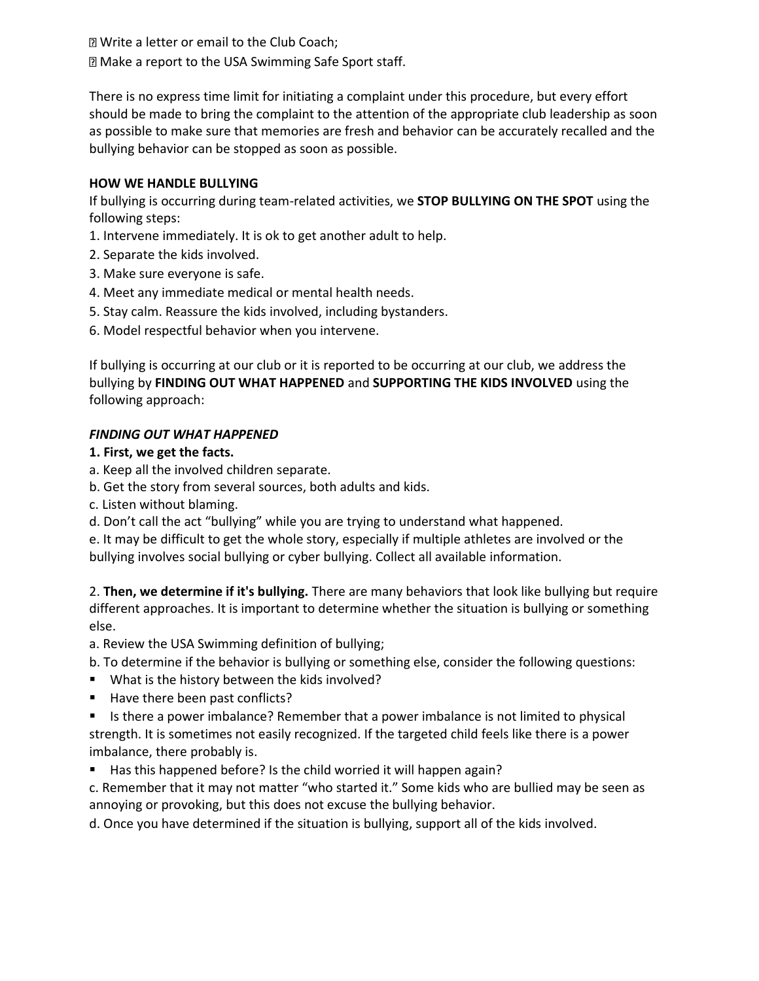**Z** Write a letter or email to the Club Coach; Make a report to the USA Swimming Safe Sport staff.

There is no express time limit for initiating a complaint under this procedure, but every effort should be made to bring the complaint to the attention of the appropriate club leadership as soon as possible to make sure that memories are fresh and behavior can be accurately recalled and the bullying behavior can be stopped as soon as possible.

#### **HOW WE HANDLE BULLYING**

If bullying is occurring during team-related activities, we **STOP BULLYING ON THE SPOT** using the following steps:

- 1. Intervene immediately. It is ok to get another adult to help.
- 2. Separate the kids involved.
- 3. Make sure everyone is safe.
- 4. Meet any immediate medical or mental health needs.
- 5. Stay calm. Reassure the kids involved, including bystanders.
- 6. Model respectful behavior when you intervene.

If bullying is occurring at our club or it is reported to be occurring at our club, we address the bullying by **FINDING OUT WHAT HAPPENED** and **SUPPORTING THE KIDS INVOLVED** using the following approach:

#### *FINDING OUT WHAT HAPPENED*

### **1. First, we get the facts.**

- a. Keep all the involved children separate.
- b. Get the story from several sources, both adults and kids.
- c. Listen without blaming.
- d. Don't call the act "bullying" while you are trying to understand what happened.

e. It may be difficult to get the whole story, especially if multiple athletes are involved or the bullying involves social bullying or cyber bullying. Collect all available information.

2. **Then, we determine if it's bullying.** There are many behaviors that look like bullying but require different approaches. It is important to determine whether the situation is bullying or something else.

- a. Review the USA Swimming definition of bullying;
- b. To determine if the behavior is bullying or something else, consider the following questions:
- What is the history between the kids involved?
- Have there been past conflicts?
- Is there a power imbalance? Remember that a power imbalance is not limited to physical strength. It is sometimes not easily recognized. If the targeted child feels like there is a power imbalance, there probably is.
- Has this happened before? Is the child worried it will happen again?
- c. Remember that it may not matter "who started it." Some kids who are bullied may be seen as annoying or provoking, but this does not excuse the bullying behavior.

d. Once you have determined if the situation is bullying, support all of the kids involved.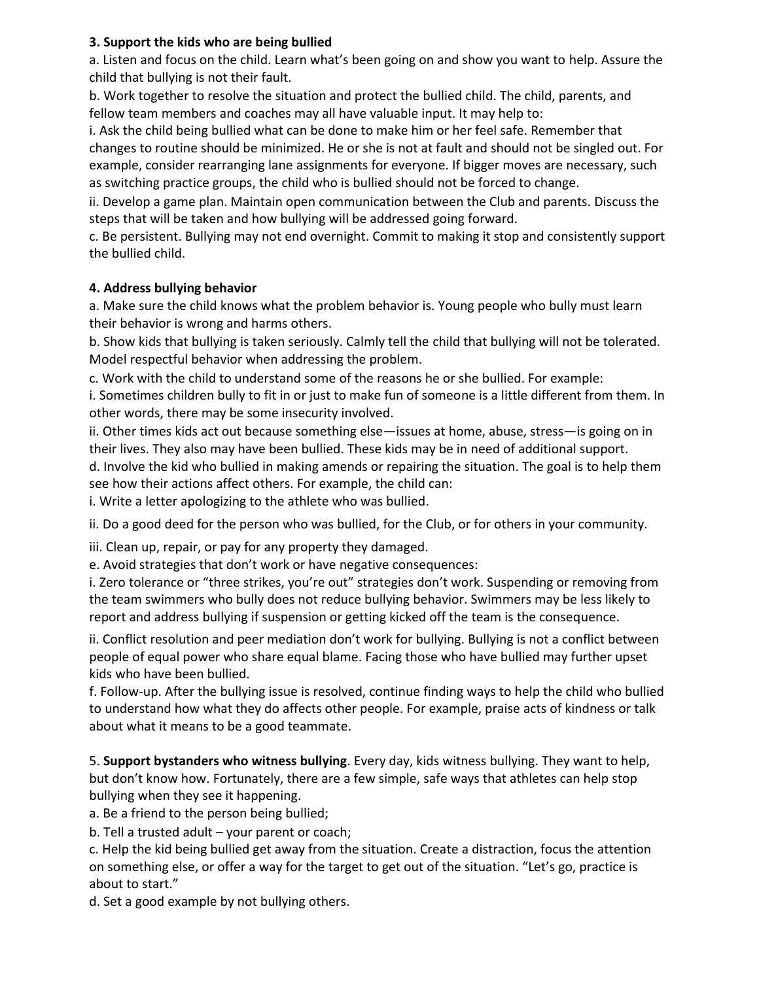#### **3. Support the kids who are being bullied**

a. Listen and focus on the child. Learn what's been going on and show you want to help. Assure the child that bullying is not their fault.

b. Work together to resolve the situation and protect the bullied child. The child, parents, and fellow team members and coaches may all have valuable input. It may help to:

i. Ask the child being bullied what can be done to make him or her feel safe. Remember that changes to routine should be minimized. He or she is not at fault and should not be singled out. For example, consider rearranging lane assignments for everyone. If bigger moves are necessary, such as switching practice groups, the child who is bullied should not be forced to change.

ii. Develop a game plan. Maintain open communication between the Club and parents. Discuss the steps that will be taken and how bullying will be addressed going forward.

c. Be persistent. Bullying may not end overnight. Commit to making it stop and consistently support the bullied child.

#### **4. Address bullying behavior**

a. Make sure the child knows what the problem behavior is. Young people who bully must learn their behavior is wrong and harms others.

b. Show kids that bullying is taken seriously. Calmly tell the child that bullying will not be tolerated. Model respectful behavior when addressing the problem.

c. Work with the child to understand some of the reasons he or she bullied. For example:

i. Sometimes children bully to fit in or just to make fun of someone is a little different from them. In other words, there may be some insecurity involved.

ii. Other times kids act out because something else—issues at home, abuse, stress—is going on in their lives. They also may have been bullied. These kids may be in need of additional support. d. Involve the kid who bullied in making amends or repairing the situation. The goal is to help them see how their actions affect others. For example, the child can:

i. Write a letter apologizing to the athlete who was bullied.

ii. Do a good deed for the person who was bullied, for the Club, or for others in your community.

iii. Clean up, repair, or pay for any property they damaged.

e. Avoid strategies that don't work or have negative consequences:

i. Zero tolerance or "three strikes, you're out" strategies don't work. Suspending or removing from the team swimmers who bully does not reduce bullying behavior. Swimmers may be less likely to report and address bullying if suspension or getting kicked off the team is the consequence.

ii. Conflict resolution and peer mediation don't work for bullying. Bullying is not a conflict between people of equal power who share equal blame. Facing those who have bullied may further upset kids who have been bullied.

f. Follow-up. After the bullying issue is resolved, continue finding ways to help the child who bullied to understand how what they do affects other people. For example, praise acts of kindness or talk about what it means to be a good teammate.

5. **Support bystanders who witness bullying**. Every day, kids witness bullying. They want to help, but don't know how. Fortunately, there are a few simple, safe ways that athletes can help stop bullying when they see it happening.

a. Be a friend to the person being bullied;

b. Tell a trusted adult – your parent or coach;

c. Help the kid being bullied get away from the situation. Create a distraction, focus the attention on something else, or offer a way for the target to get out of the situation. "Let's go, practice is about to start."

d. Set a good example by not bullying others.